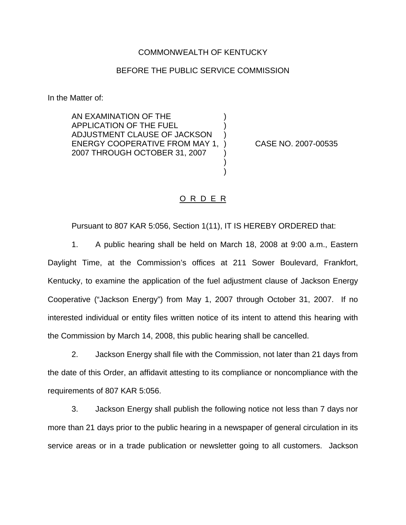## COMMONWEALTH OF KENTUCKY

## BEFORE THE PUBLIC SERVICE COMMISSION

) ) )

) ) )

In the Matter of:

AN EXAMINATION OF THE APPLICATION OF THE FUEL ADJUSTMENT CLAUSE OF JACKSON ENERGY COOPERATIVE FROM MAY 1, 2007 THROUGH OCTOBER 31, 2007

) CASE NO. 2007-00535

## O R D E R

Pursuant to 807 KAR 5:056, Section 1(11), IT IS HEREBY ORDERED that:

1. A public hearing shall be held on March 18, 2008 at 9:00 a.m., Eastern Daylight Time, at the Commission's offices at 211 Sower Boulevard, Frankfort, Kentucky, to examine the application of the fuel adjustment clause of Jackson Energy Cooperative ("Jackson Energy") from May 1, 2007 through October 31, 2007. If no interested individual or entity files written notice of its intent to attend this hearing with the Commission by March 14, 2008, this public hearing shall be cancelled.

2. Jackson Energy shall file with the Commission, not later than 21 days from the date of this Order, an affidavit attesting to its compliance or noncompliance with the requirements of 807 KAR 5:056.

3. Jackson Energy shall publish the following notice not less than 7 days nor more than 21 days prior to the public hearing in a newspaper of general circulation in its service areas or in a trade publication or newsletter going to all customers. Jackson